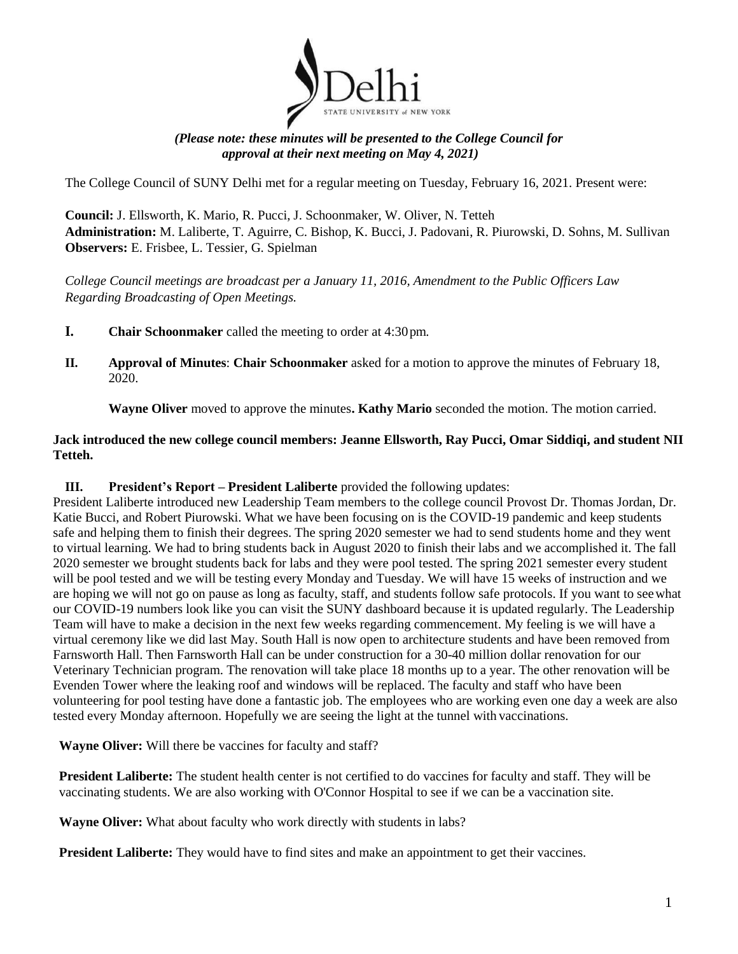

## *(Please note: these minutes will be presented to the College Council for approval at their next meeting on May 4, 2021)*

The College Council of SUNY Delhi met for a regular meeting on Tuesday, February 16, 2021. Present were:

**Council:** J. Ellsworth, K. Mario, R. Pucci, J. Schoonmaker, W. Oliver, N. Tetteh **Administration:** M. Laliberte, T. Aguirre, C. Bishop, K. Bucci, J. Padovani, R. Piurowski, D. Sohns, M. Sullivan **Observers:** E. Frisbee, L. Tessier, G. Spielman

*College Council meetings are broadcast per a January 11, 2016, Amendment to the Public Officers Law Regarding Broadcasting of Open Meetings.*

- **I. Chair Schoonmaker** called the meeting to order at 4:30pm.
- **II. Approval of Minutes**: **Chair Schoonmaker** asked for a motion to approve the minutes of February 18, 2020.

**Wayne Oliver** moved to approve the minutes**. Kathy Mario** seconded the motion. The motion carried.

## **Jack introduced the new college council members: Jeanne Ellsworth, Ray Pucci, Omar Siddiqi, and student NII Tetteh.**

## **III. President's Report – President Laliberte** provided the following updates:

President Laliberte introduced new Leadership Team members to the college council Provost Dr. Thomas Jordan, Dr. Katie Bucci, and Robert Piurowski. What we have been focusing on is the COVID-19 pandemic and keep students safe and helping them to finish their degrees. The spring 2020 semester we had to send students home and they went to virtual learning. We had to bring students back in August 2020 to finish their labs and we accomplished it. The fall 2020 semester we brought students back for labs and they were pool tested. The spring 2021 semester every student will be pool tested and we will be testing every Monday and Tuesday. We will have 15 weeks of instruction and we are hoping we will not go on pause as long as faculty, staff, and students follow safe protocols. If you want to seewhat our COVID-19 numbers look like you can visit the SUNY dashboard because it is updated regularly. The Leadership Team will have to make a decision in the next few weeks regarding commencement. My feeling is we will have a virtual ceremony like we did last May. South Hall is now open to architecture students and have been removed from Farnsworth Hall. Then Farnsworth Hall can be under construction for a 30-40 million dollar renovation for our Veterinary Technician program. The renovation will take place 18 months up to a year. The other renovation will be Evenden Tower where the leaking roof and windows will be replaced. The faculty and staff who have been volunteering for pool testing have done a fantastic job. The employees who are working even one day a week are also tested every Monday afternoon. Hopefully we are seeing the light at the tunnel with vaccinations.

**Wayne Oliver:** Will there be vaccines for faculty and staff?

**President Laliberte:** The student health center is not certified to do vaccines for faculty and staff. They will be vaccinating students. We are also working with O'Connor Hospital to see if we can be a vaccination site.

**Wayne Oliver:** What about faculty who work directly with students in labs?

**President Laliberte:** They would have to find sites and make an appointment to get their vaccines.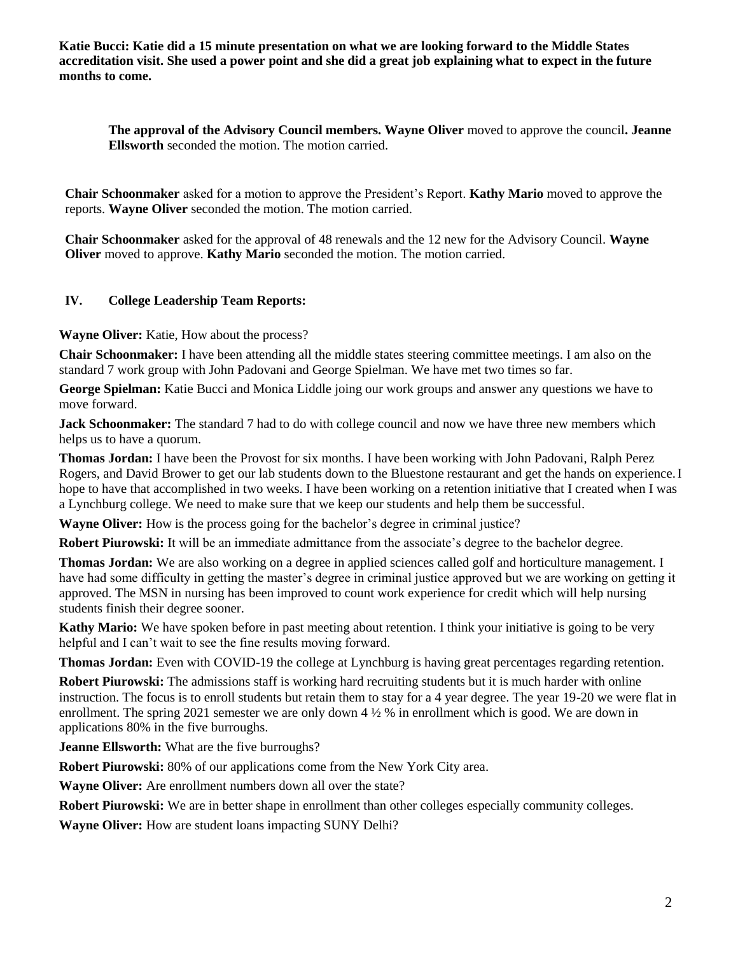**Katie Bucci: Katie did a 15 minute presentation on what we are looking forward to the Middle States accreditation visit. She used a power point and she did a great job explaining what to expect in the future months to come.**

**The approval of the Advisory Council members. Wayne Oliver** moved to approve the council**. Jeanne Ellsworth** seconded the motion. The motion carried.

**Chair Schoonmaker** asked for a motion to approve the President's Report. **Kathy Mario** moved to approve the reports. **Wayne Oliver** seconded the motion. The motion carried.

**Chair Schoonmaker** asked for the approval of 48 renewals and the 12 new for the Advisory Council. **Wayne Oliver** moved to approve. **Kathy Mario** seconded the motion. The motion carried.

## **IV. College Leadership Team Reports:**

**Wayne Oliver:** Katie, How about the process?

**Chair Schoonmaker:** I have been attending all the middle states steering committee meetings. I am also on the standard 7 work group with John Padovani and George Spielman. We have met two times so far.

**George Spielman:** Katie Bucci and Monica Liddle joing our work groups and answer any questions we have to move forward.

Jack Schoonmaker: The standard 7 had to do with college council and now we have three new members which helps us to have a quorum.

**Thomas Jordan:** I have been the Provost for six months. I have been working with John Padovani, Ralph Perez Rogers, and David Brower to get our lab students down to the Bluestone restaurant and get the hands on experience.I hope to have that accomplished in two weeks. I have been working on a retention initiative that I created when I was a Lynchburg college. We need to make sure that we keep our students and help them be successful.

**Wayne Oliver:** How is the process going for the bachelor's degree in criminal justice?

**Robert Piurowski:** It will be an immediate admittance from the associate's degree to the bachelor degree.

**Thomas Jordan:** We are also working on a degree in applied sciences called golf and horticulture management. I have had some difficulty in getting the master's degree in criminal justice approved but we are working on getting it approved. The MSN in nursing has been improved to count work experience for credit which will help nursing students finish their degree sooner.

**Kathy Mario:** We have spoken before in past meeting about retention. I think your initiative is going to be very helpful and I can't wait to see the fine results moving forward.

**Thomas Jordan:** Even with COVID-19 the college at Lynchburg is having great percentages regarding retention.

**Robert Piurowski:** The admissions staff is working hard recruiting students but it is much harder with online instruction. The focus is to enroll students but retain them to stay for a 4 year degree. The year 19-20 we were flat in enrollment. The spring 2021 semester we are only down  $4\frac{1}{2}$  % in enrollment which is good. We are down in applications 80% in the five burroughs.

**Jeanne Ellsworth:** What are the five burroughs?

**Robert Piurowski:** 80% of our applications come from the New York City area.

**Wayne Oliver:** Are enrollment numbers down all over the state?

**Robert Piurowski:** We are in better shape in enrollment than other colleges especially community colleges.

**Wayne Oliver:** How are student loans impacting SUNY Delhi?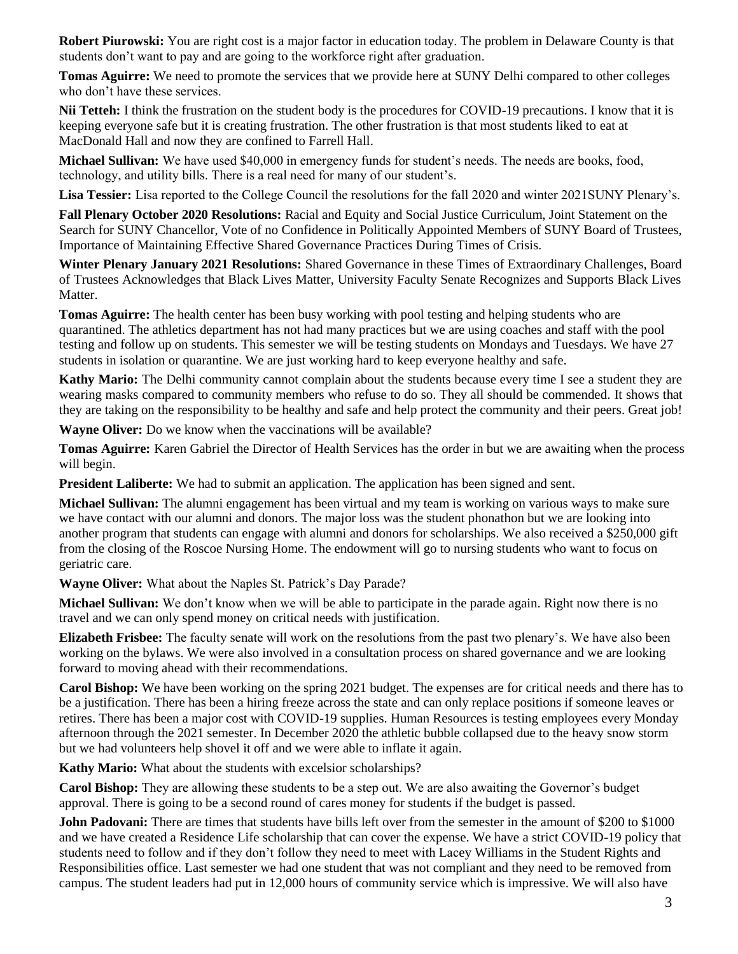**Robert Piurowski:** You are right cost is a major factor in education today. The problem in Delaware County is that students don't want to pay and are going to the workforce right after graduation.

**Tomas Aguirre:** We need to promote the services that we provide here at SUNY Delhi compared to other colleges who don't have these services.

**Nii Tetteh:** I think the frustration on the student body is the procedures for COVID-19 precautions. I know that it is keeping everyone safe but it is creating frustration. The other frustration is that most students liked to eat at MacDonald Hall and now they are confined to Farrell Hall.

**Michael Sullivan:** We have used \$40,000 in emergency funds for student's needs. The needs are books, food, technology, and utility bills. There is a real need for many of our student's.

**Lisa Tessier:** Lisa reported to the College Council the resolutions for the fall 2020 and winter 2021SUNY Plenary's.

**Fall Plenary October 2020 Resolutions:** Racial and Equity and Social Justice Curriculum, Joint Statement on the Search for SUNY Chancellor, Vote of no Confidence in Politically Appointed Members of SUNY Board of Trustees, Importance of Maintaining Effective Shared Governance Practices During Times of Crisis.

**Winter Plenary January 2021 Resolutions:** Shared Governance in these Times of Extraordinary Challenges, Board of Trustees Acknowledges that Black Lives Matter, University Faculty Senate Recognizes and Supports Black Lives Matter.

**Tomas Aguirre:** The health center has been busy working with pool testing and helping students who are quarantined. The athletics department has not had many practices but we are using coaches and staff with the pool testing and follow up on students. This semester we will be testing students on Mondays and Tuesdays. We have 27 students in isolation or quarantine. We are just working hard to keep everyone healthy and safe.

**Kathy Mario:** The Delhi community cannot complain about the students because every time I see a student they are wearing masks compared to community members who refuse to do so. They all should be commended. It shows that they are taking on the responsibility to be healthy and safe and help protect the community and their peers. Great job!

**Wayne Oliver:** Do we know when the vaccinations will be available?

**Tomas Aguirre:** Karen Gabriel the Director of Health Services has the order in but we are awaiting when the process will begin.

**President Laliberte:** We had to submit an application. The application has been signed and sent.

**Michael Sullivan:** The alumni engagement has been virtual and my team is working on various ways to make sure we have contact with our alumni and donors. The major loss was the student phonathon but we are looking into another program that students can engage with alumni and donors for scholarships. We also received a \$250,000 gift from the closing of the Roscoe Nursing Home. The endowment will go to nursing students who want to focus on geriatric care.

**Wayne Oliver:** What about the Naples St. Patrick's Day Parade?

**Michael Sullivan:** We don't know when we will be able to participate in the parade again. Right now there is no travel and we can only spend money on critical needs with justification.

**Elizabeth Frisbee:** The faculty senate will work on the resolutions from the past two plenary's. We have also been working on the bylaws. We were also involved in a consultation process on shared governance and we are looking forward to moving ahead with their recommendations.

**Carol Bishop:** We have been working on the spring 2021 budget. The expenses are for critical needs and there has to be a justification. There has been a hiring freeze across the state and can only replace positions if someone leaves or retires. There has been a major cost with COVID-19 supplies. Human Resources is testing employees every Monday afternoon through the 2021 semester. In December 2020 the athletic bubble collapsed due to the heavy snow storm but we had volunteers help shovel it off and we were able to inflate it again.

**Kathy Mario:** What about the students with excelsior scholarships?

**Carol Bishop:** They are allowing these students to be a step out. We are also awaiting the Governor's budget approval. There is going to be a second round of cares money for students if the budget is passed.

**John Padovani:** There are times that students have bills left over from the semester in the amount of \$200 to \$1000 and we have created a Residence Life scholarship that can cover the expense. We have a strict COVID-19 policy that students need to follow and if they don't follow they need to meet with Lacey Williams in the Student Rights and Responsibilities office. Last semester we had one student that was not compliant and they need to be removed from campus. The student leaders had put in 12,000 hours of community service which is impressive. We will also have